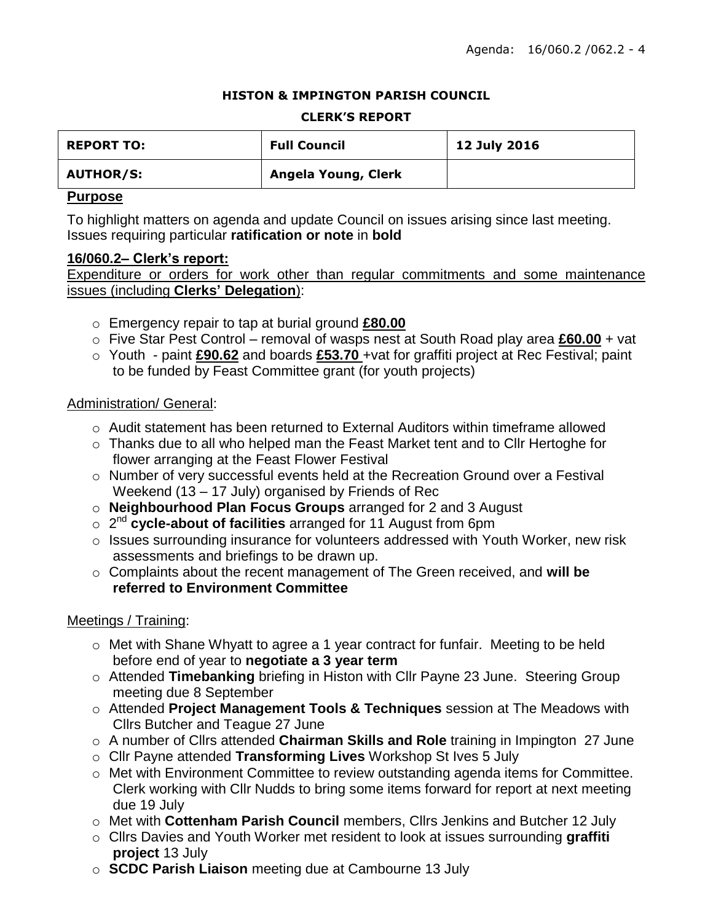### **HISTON & IMPINGTON PARISH COUNCIL**

#### **CLERK'S REPORT**

| <b>REPORT TO:</b> | <b>Full Council</b> | 12 July 2016 |
|-------------------|---------------------|--------------|
| <b>AUTHOR/S:</b>  | Angela Young, Clerk |              |

### **Purpose**

To highlight matters on agenda and update Council on issues arising since last meeting. Issues requiring particular **ratification or note** in **bold**

### **16/060.2– Clerk's report:**

Expenditure or orders for work other than regular commitments and some maintenance issues (including **Clerks' Delegation**):

- o Emergency repair to tap at burial ground **£80.00**
- o Five Star Pest Control removal of wasps nest at South Road play area **£60.00** + vat
- o Youth paint **£90.62** and boards **£53.70** +vat for graffiti project at Rec Festival; paint to be funded by Feast Committee grant (for youth projects)

## Administration/ General:

- $\circ$  Audit statement has been returned to External Auditors within timeframe allowed
- o Thanks due to all who helped man the Feast Market tent and to Cllr Hertoghe for flower arranging at the Feast Flower Festival
- o Number of very successful events held at the Recreation Ground over a Festival Weekend (13 – 17 July) organised by Friends of Rec
- o **Neighbourhood Plan Focus Groups** arranged for 2 and 3 August
- o 2 nd **cycle-about of facilities** arranged for 11 August from 6pm
- $\circ$  Issues surrounding insurance for volunteers addressed with Youth Worker, new risk assessments and briefings to be drawn up.
- o Complaints about the recent management of The Green received, and **will be referred to Environment Committee**

## Meetings / Training:

- o Met with Shane Whyatt to agree a 1 year contract for funfair. Meeting to be held before end of year to **negotiate a 3 year term**
- o Attended **Timebanking** briefing in Histon with Cllr Payne 23 June. Steering Group meeting due 8 September
- o Attended **Project Management Tools & Techniques** session at The Meadows with Cllrs Butcher and Teague 27 June
- o A number of Cllrs attended **Chairman Skills and Role** training in Impington 27 June
- o Cllr Payne attended **Transforming Lives** Workshop St Ives 5 July
- o Met with Environment Committee to review outstanding agenda items for Committee. Clerk working with Cllr Nudds to bring some items forward for report at next meeting due 19 July
- o Met with **Cottenham Parish Council** members, Cllrs Jenkins and Butcher 12 July
- o Cllrs Davies and Youth Worker met resident to look at issues surrounding **graffiti project** 13 July
- o **SCDC Parish Liaison** meeting due at Cambourne 13 July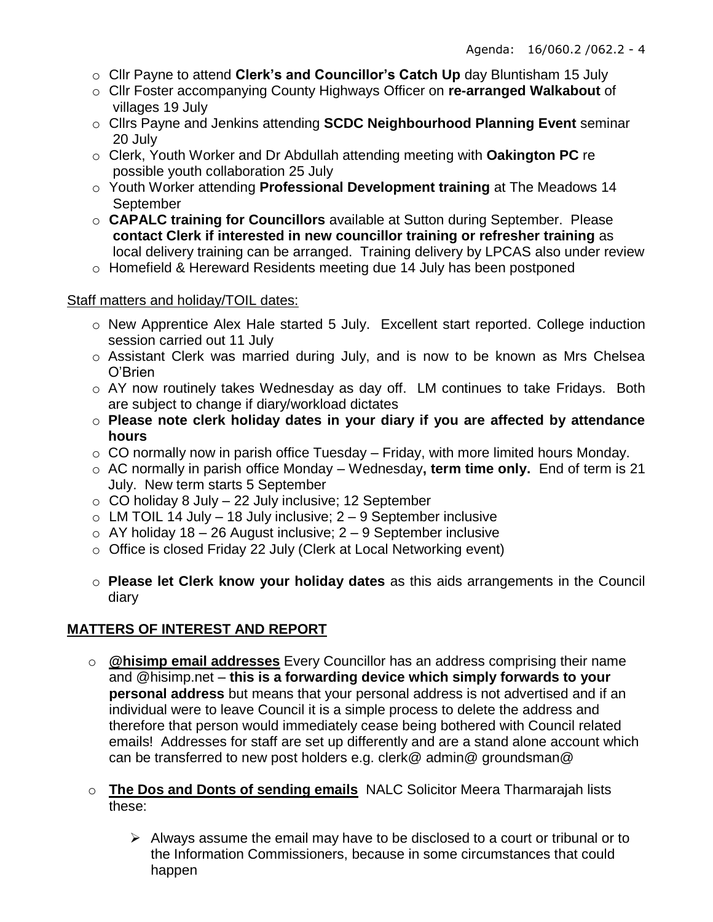- o Cllr Payne to attend **Clerk's and Councillor's Catch Up** day Bluntisham 15 July
- o Cllr Foster accompanying County Highways Officer on **re-arranged Walkabout** of villages 19 July
- o Cllrs Payne and Jenkins attending **SCDC Neighbourhood Planning Event** seminar 20 July
- o Clerk, Youth Worker and Dr Abdullah attending meeting with **Oakington PC** re possible youth collaboration 25 July
- o Youth Worker attending **Professional Development training** at The Meadows 14 September
- o **CAPALC training for Councillors** available at Sutton during September. Please **contact Clerk if interested in new councillor training or refresher training** as local delivery training can be arranged. Training delivery by LPCAS also under review
- o Homefield & Hereward Residents meeting due 14 July has been postponed

## Staff matters and holiday/TOIL dates:

- o New Apprentice Alex Hale started 5 July. Excellent start reported. College induction session carried out 11 July
- o Assistant Clerk was married during July, and is now to be known as Mrs Chelsea O'Brien
- o AY now routinely takes Wednesday as day off. LM continues to take Fridays. Both are subject to change if diary/workload dictates
- o **Please note clerk holiday dates in your diary if you are affected by attendance hours**
- $\circ$  CO normally now in parish office Tuesday Friday, with more limited hours Monday.
- o AC normally in parish office Monday Wednesday**, term time only.** End of term is 21 July. New term starts 5 September
- $\circ$  CO holiday 8 July 22 July inclusive; 12 September
- $\circ$  LM TOIL 14 July 18 July inclusive; 2 9 September inclusive
- $\circ$  AY holiday 18 26 August inclusive; 2 9 September inclusive
- o Office is closed Friday 22 July (Clerk at Local Networking event)
- o **Please let Clerk know your holiday dates** as this aids arrangements in the Council diary

# **MATTERS OF INTEREST AND REPORT**

- o **@hisimp email addresses** Every Councillor has an address comprising their name and @hisimp.net – **this is a forwarding device which simply forwards to your personal address** but means that your personal address is not advertised and if an individual were to leave Council it is a simple process to delete the address and therefore that person would immediately cease being bothered with Council related emails! Addresses for staff are set up differently and are a stand alone account which can be transferred to new post holders e.g. clerk@ admin@ groundsman@
- o **The Dos and Donts of sending emails** NALC Solicitor Meera Tharmarajah lists these:
	- $\triangleright$  Always assume the email may have to be disclosed to a court or tribunal or to the Information Commissioners, because in some circumstances that could happen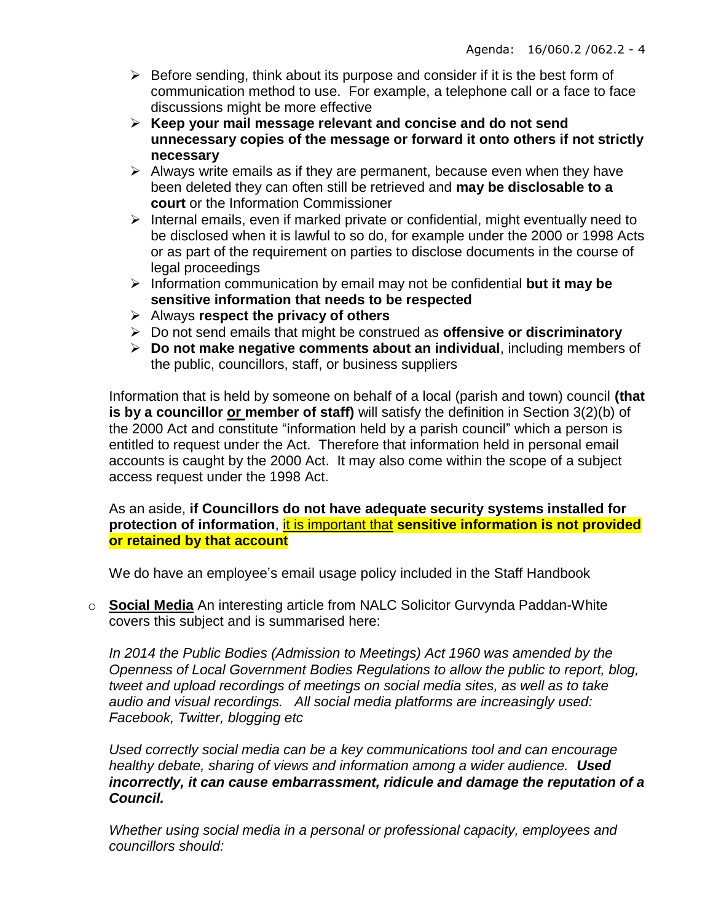- $\triangleright$  Before sending, think about its purpose and consider if it is the best form of communication method to use. For example, a telephone call or a face to face discussions might be more effective
- **Keep your mail message relevant and concise and do not send unnecessary copies of the message or forward it onto others if not strictly necessary**
- $\triangleright$  Always write emails as if they are permanent, because even when they have been deleted they can often still be retrieved and **may be disclosable to a court** or the Information Commissioner
- $\triangleright$  Internal emails, even if marked private or confidential, might eventually need to be disclosed when it is lawful to so do, for example under the 2000 or 1998 Acts or as part of the requirement on parties to disclose documents in the course of legal proceedings
- Information communication by email may not be confidential **but it may be sensitive information that needs to be respected**
- Always **respect the privacy of others**
- Do not send emails that might be construed as **offensive or discriminatory**
- **Do not make negative comments about an individual**, including members of the public, councillors, staff, or business suppliers

Information that is held by someone on behalf of a local (parish and town) council **(that**  is by a councillor or member of staff) will satisfy the definition in Section 3(2)(b) of the 2000 Act and constitute "information held by a parish council" which a person is entitled to request under the Act. Therefore that information held in personal email accounts is caught by the 2000 Act. It may also come within the scope of a subject access request under the 1998 Act.

## As an aside, **if Councillors do not have adequate security systems installed for protection of information**, it is important that **sensitive information is not provided or retained by that account**

We do have an employee's email usage policy included in the Staff Handbook

o **Social Media** An interesting article from NALC Solicitor Gurvynda Paddan-White covers this subject and is summarised here:

*In 2014 the Public Bodies (Admission to Meetings) Act 1960 was amended by the Openness of Local Government Bodies Regulations to allow the public to report, blog, tweet and upload recordings of meetings on social media sites, as well as to take audio and visual recordings. All social media platforms are increasingly used: Facebook, Twitter, blogging etc*

*Used correctly social media can be a key communications tool and can encourage healthy debate, sharing of views and information among a wider audience. Used incorrectly, it can cause embarrassment, ridicule and damage the reputation of a Council.*

*Whether using social media in a personal or professional capacity, employees and councillors should:*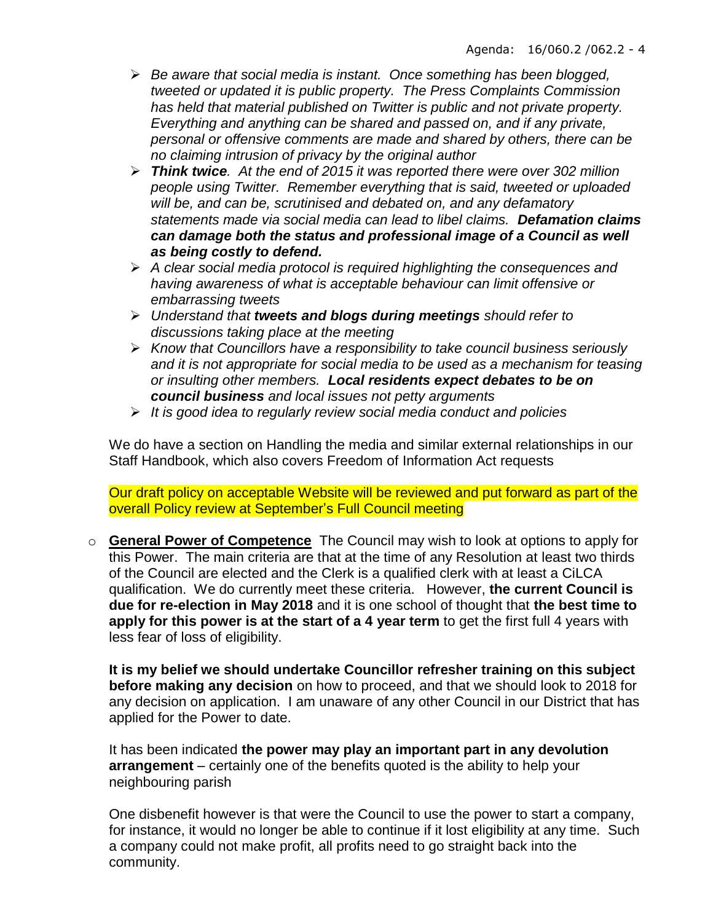- *Be aware that social media is instant. Once something has been blogged, tweeted or updated it is public property. The Press Complaints Commission has held that material published on Twitter is public and not private property. Everything and anything can be shared and passed on, and if any private, personal or offensive comments are made and shared by others, there can be no claiming intrusion of privacy by the original author*
- *Think twice. At the end of 2015 it was reported there were over 302 million people using Twitter. Remember everything that is said, tweeted or uploaded will be, and can be, scrutinised and debated on, and any defamatory statements made via social media can lead to libel claims. Defamation claims can damage both the status and professional image of a Council as well as being costly to defend.*
- *A clear social media protocol is required highlighting the consequences and having awareness of what is acceptable behaviour can limit offensive or embarrassing tweets*
- *Understand that tweets and blogs during meetings should refer to discussions taking place at the meeting*
- *Know that Councillors have a responsibility to take council business seriously and it is not appropriate for social media to be used as a mechanism for teasing or insulting other members. Local residents expect debates to be on council business and local issues not petty arguments*
- *It is good idea to regularly review social media conduct and policies*

We do have a section on Handling the media and similar external relationships in our Staff Handbook, which also covers Freedom of Information Act requests

Our draft policy on acceptable Website will be reviewed and put forward as part of the overall Policy review at September's Full Council meeting

o **General Power of Competence** The Council may wish to look at options to apply for this Power. The main criteria are that at the time of any Resolution at least two thirds of the Council are elected and the Clerk is a qualified clerk with at least a CiLCA qualification. We do currently meet these criteria. However, **the current Council is due for re-election in May 2018** and it is one school of thought that **the best time to apply for this power is at the start of a 4 year term** to get the first full 4 years with less fear of loss of eligibility.

**It is my belief we should undertake Councillor refresher training on this subject before making any decision** on how to proceed, and that we should look to 2018 for any decision on application. I am unaware of any other Council in our District that has applied for the Power to date.

It has been indicated **the power may play an important part in any devolution arrangement** – certainly one of the benefits quoted is the ability to help your neighbouring parish

One disbenefit however is that were the Council to use the power to start a company, for instance, it would no longer be able to continue if it lost eligibility at any time. Such a company could not make profit, all profits need to go straight back into the community.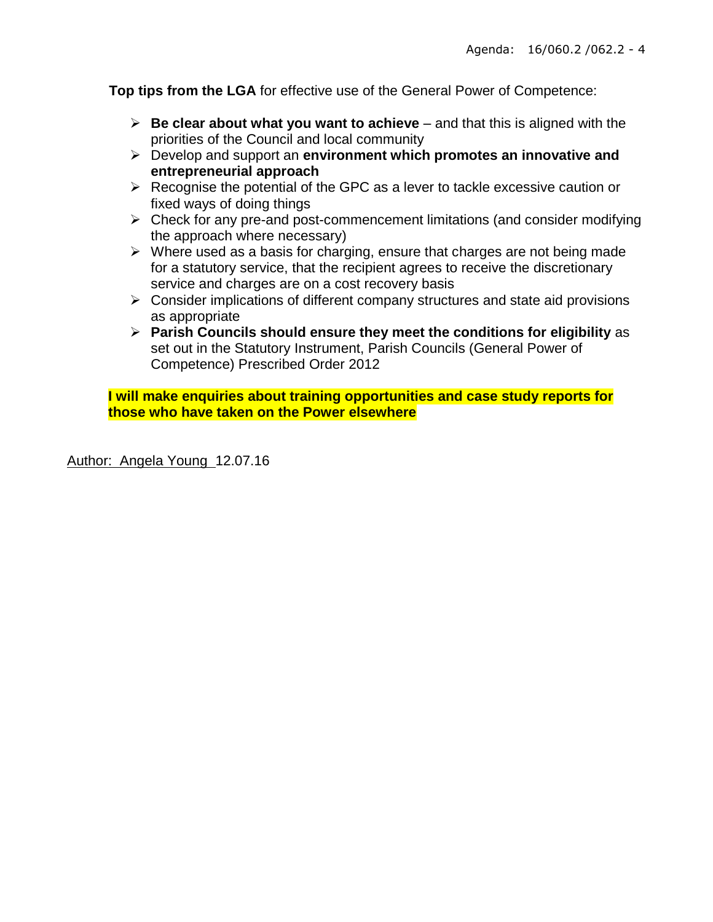**Top tips from the LGA** for effective use of the General Power of Competence:

- $\triangleright$  **Be clear about what you want to achieve** and that this is aligned with the priorities of the Council and local community
- Develop and support an **environment which promotes an innovative and entrepreneurial approach**
- $\triangleright$  Recognise the potential of the GPC as a lever to tackle excessive caution or fixed ways of doing things
- $\triangleright$  Check for any pre-and post-commencement limitations (and consider modifying the approach where necessary)
- $\triangleright$  Where used as a basis for charging, ensure that charges are not being made for a statutory service, that the recipient agrees to receive the discretionary service and charges are on a cost recovery basis
- $\triangleright$  Consider implications of different company structures and state aid provisions as appropriate
- **Parish Councils should ensure they meet the conditions for eligibility** as set out in the Statutory Instrument, Parish Councils (General Power of Competence) Prescribed Order 2012

**I will make enquiries about training opportunities and case study reports for those who have taken on the Power elsewhere**

Author: Angela Young 12.07.16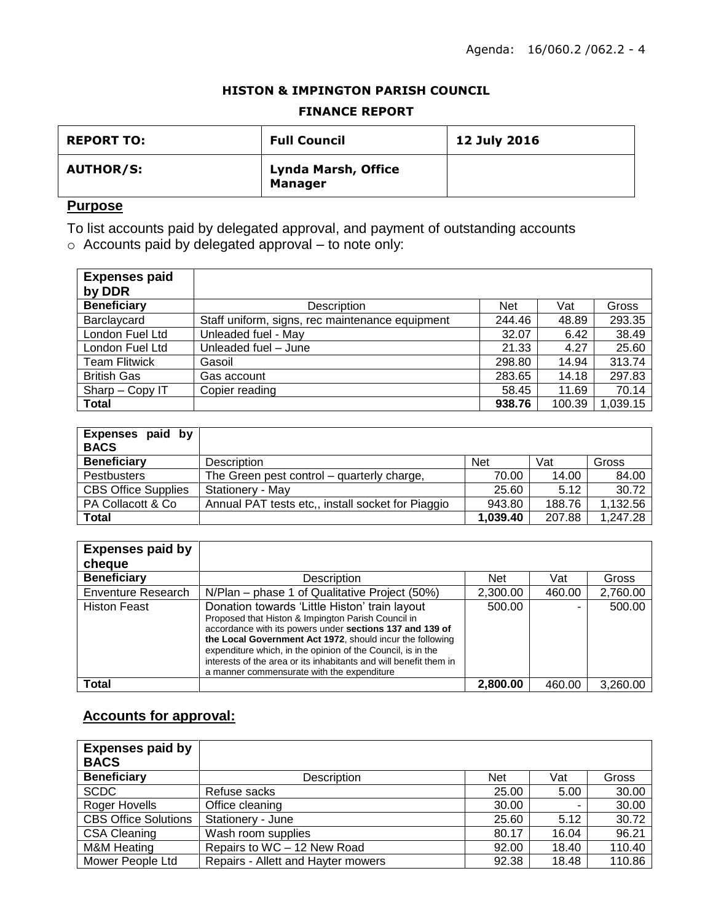#### **HISTON & IMPINGTON PARISH COUNCIL**

## **FINANCE REPORT**

| <b>REPORT TO:</b> | <b>Full Council</b>                   | 12 July 2016 |
|-------------------|---------------------------------------|--------------|
| <b>AUTHOR/S:</b>  | Lynda Marsh, Office<br><b>Manager</b> |              |

## **Purpose**

To list accounts paid by delegated approval, and payment of outstanding accounts

o Accounts paid by delegated approval – to note only:

| <b>Expenses paid</b><br>by DDR |                                                 |            |        |          |
|--------------------------------|-------------------------------------------------|------------|--------|----------|
| <b>Beneficiary</b>             | Description                                     | <b>Net</b> | Vat    | Gross    |
| Barclaycard                    | Staff uniform, signs, rec maintenance equipment | 244.46     | 48.89  | 293.35   |
| London Fuel Ltd                | Unleaded fuel - May                             | 32.07      | 6.42   | 38.49    |
| London Fuel Ltd                | Unleaded fuel - June                            | 21.33      | 4.27   | 25.60    |
| <b>Team Flitwick</b>           | Gasoil                                          | 298.80     | 14.94  | 313.74   |
| <b>British Gas</b>             | Gas account                                     | 283.65     | 14.18  | 297.83   |
| Sharp - Copy IT                | Copier reading                                  | 58.45      | 11.69  | 70.14    |
| <b>Total</b>                   |                                                 | 938.76     | 100.39 | 1,039.15 |

| Expenses paid by<br><b>BACS</b> |                                                   |            |        |          |
|---------------------------------|---------------------------------------------------|------------|--------|----------|
| <b>Beneficiary</b>              | Description                                       | <b>Net</b> | Vat    | Gross    |
| Pestbusters                     | The Green pest control – quarterly charge,        | 70.00      | 14.00  | 84.00    |
| <b>CBS Office Supplies</b>      | Stationery - May                                  | 25.60      | 5.12   | 30.72    |
| PA Collacott & Co.              | Annual PAT tests etc., install socket for Piaggio | 943.80     | 188.76 | 1,132.56 |
| Total                           |                                                   | 1,039.40   | 207.88 | 1,247.28 |

| <b>Expenses paid by</b><br>cheque |                                                                                                                                                                                                                                                                                                                                                                                                                |          |        |          |
|-----------------------------------|----------------------------------------------------------------------------------------------------------------------------------------------------------------------------------------------------------------------------------------------------------------------------------------------------------------------------------------------------------------------------------------------------------------|----------|--------|----------|
| <b>Beneficiary</b>                | <b>Description</b>                                                                                                                                                                                                                                                                                                                                                                                             | Net      | Vat    | Gross    |
| Enventure Research                | N/Plan – phase 1 of Qualitative Project (50%)                                                                                                                                                                                                                                                                                                                                                                  | 2,300.00 | 460.00 | 2,760.00 |
| <b>Histon Feast</b>               | Donation towards 'Little Histon' train layout<br>Proposed that Histon & Impington Parish Council in<br>accordance with its powers under sections 137 and 139 of<br>the Local Government Act 1972, should incur the following<br>expenditure which, in the opinion of the Council, is in the<br>interests of the area or its inhabitants and will benefit them in<br>a manner commensurate with the expenditure | 500.00   |        | 500.00   |
| Total                             |                                                                                                                                                                                                                                                                                                                                                                                                                | 2,800.00 | 460.00 | 3.260.00 |

# **Accounts for approval:**

| <b>Expenses paid by</b><br><b>BACS</b> |                                    |            |       |        |
|----------------------------------------|------------------------------------|------------|-------|--------|
| <b>Beneficiary</b>                     | Description                        | <b>Net</b> | Vat   | Gross  |
| <b>SCDC</b>                            | Refuse sacks                       | 25.00      | 5.00  | 30.00  |
| Roger Hovells                          | Office cleaning                    | 30.00      |       | 30.00  |
| <b>CBS Office Solutions</b>            | Stationery - June                  | 25.60      | 5.12  | 30.72  |
| <b>CSA Cleaning</b>                    | Wash room supplies                 | 80.17      | 16.04 | 96.21  |
| <b>M&amp;M Heating</b>                 | Repairs to WC - 12 New Road        | 92.00      | 18.40 | 110.40 |
| Mower People Ltd                       | Repairs - Allett and Hayter mowers | 92.38      | 18.48 | 110.86 |